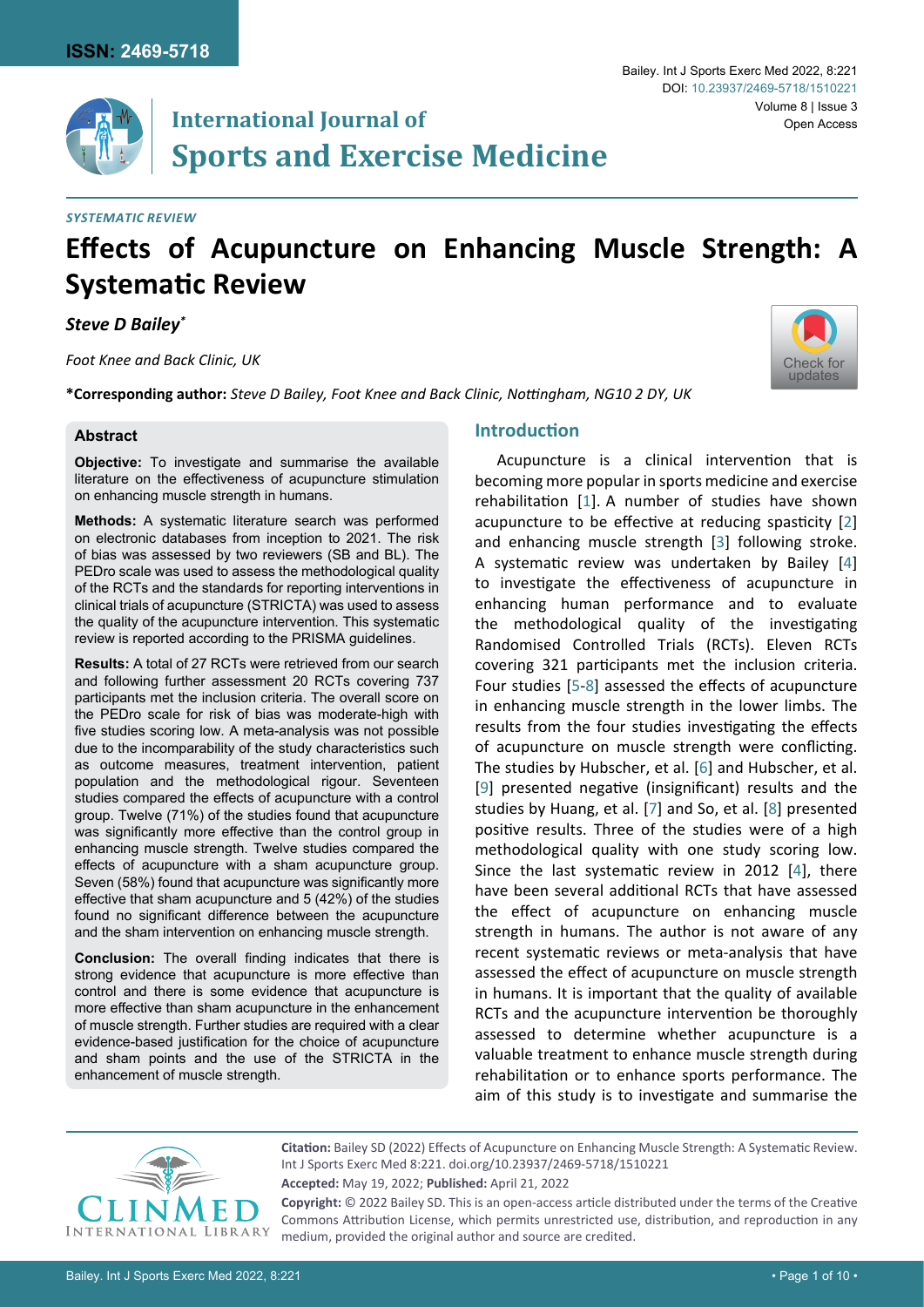[Check for](http://crossmark.crossref.org/dialog/?doi=10.23937/2469-5718/1510221&domain=pdf) updates

# **International Journal of Sports and Exercise Medicine**

# *Systematic Review*

# **Effects of Acupuncture on Enhancing Muscle Strength: A Systematic Review**

*Steve D Bailey\**

*Foot Knee and Back Clinic, UK*

**\*Corresponding author:** *Steve D Bailey, Foot Knee and Back Clinic, Nottingham, NG10 2 DY, UK*

#### **Abstract**

**Objective:** To investigate and summarise the available literature on the effectiveness of acupuncture stimulation on enhancing muscle strength in humans.

**Methods:** A systematic literature search was performed on electronic databases from inception to 2021. The risk of bias was assessed by two reviewers (SB and BL). The PEDro scale was used to assess the methodological quality of the RCTs and the standards for reporting interventions in clinical trials of acupuncture (STRICTA) was used to assess the quality of the acupuncture intervention. This systematic review is reported according to the PRISMA guidelines.

**Results:** A total of 27 RCTs were retrieved from our search and following further assessment 20 RCTs covering 737 participants met the inclusion criteria. The overall score on the PEDro scale for risk of bias was moderate-high with five studies scoring low. A meta-analysis was not possible due to the incomparability of the study characteristics such as outcome measures, treatment intervention, patient population and the methodological rigour. Seventeen studies compared the effects of acupuncture with a control group. Twelve (71%) of the studies found that acupuncture was significantly more effective than the control group in enhancing muscle strength. Twelve studies compared the effects of acupuncture with a sham acupuncture group. Seven (58%) found that acupuncture was significantly more effective that sham acupuncture and 5 (42%) of the studies found no significant difference between the acupuncture and the sham intervention on enhancing muscle strength.

**Conclusion:** The overall finding indicates that there is strong evidence that acupuncture is more effective than control and there is some evidence that acupuncture is more effective than sham acupuncture in the enhancement of muscle strength. Further studies are required with a clear evidence-based justification for the choice of acupuncture and sham points and the use of the STRICTA in the enhancement of muscle strength.

# **Introduction**

Acupuncture is a clinical intervention that is becoming more popular in sports medicine and exercise rehabilitation [\[1](#page-8-0)]. A number of studies have shown acupuncture to be effective at reducing spasticity [[2](#page-8-1)] and enhancing muscle strength [[3](#page-8-2)] following stroke. A systematic review was undertaken by Bailey [[4](#page-8-3)] to investigate the effectiveness of acupuncture in enhancing human performance and to evaluate the methodological quality of the investigating Randomised Controlled Trials (RCTs). Eleven RCTs covering 321 participants met the inclusion criteria. Four studies [\[5](#page-8-4)[-8\]](#page-8-5) assessed the effects of acupuncture in enhancing muscle strength in the lower limbs. The results from the four studies investigating the effects of acupuncture on muscle strength were conflicting. The studies by Hubscher, et al. [[6](#page-8-6)] and Hubscher, et al. [\[9\]](#page-8-7) presented negative (insignificant) results and the studies by Huang, et al. [\[7\]](#page-8-8) and So, et al. [\[8\]](#page-8-5) presented positive results. Three of the studies were of a high methodological quality with one study scoring low. Since the last systematic review in 2012 [\[4\]](#page-8-3), there have been several additional RCTs that have assessed the effect of acupuncture on enhancing muscle strength in humans. The author is not aware of any recent systematic reviews or meta-analysis that have assessed the effect of acupuncture on muscle strength in humans. It is important that the quality of available RCTs and the acupuncture intervention be thoroughly assessed to determine whether acupuncture is a valuable treatment to enhance muscle strength during rehabilitation or to enhance sports performance. The aim of this study is to investigate and summarise the



**Citation:** Bailey SD (2022) Effects of Acupuncture on Enhancing Muscle Strength: A Systematic Review. Int J Sports Exerc Med 8:221. [doi.org/10.23937/2469-5718/1510221](https://doi.org/10.23937/2469-5718/1510221) **Accepted:** May 19, 2022; **Published:** April 21, 2022

**Copyright:** © 2022 Bailey SD. This is an open-access article distributed under the terms of the Creative Commons Attribution License, which permits unrestricted use, distribution, and reproduction in any medium, provided the original author and source are credited.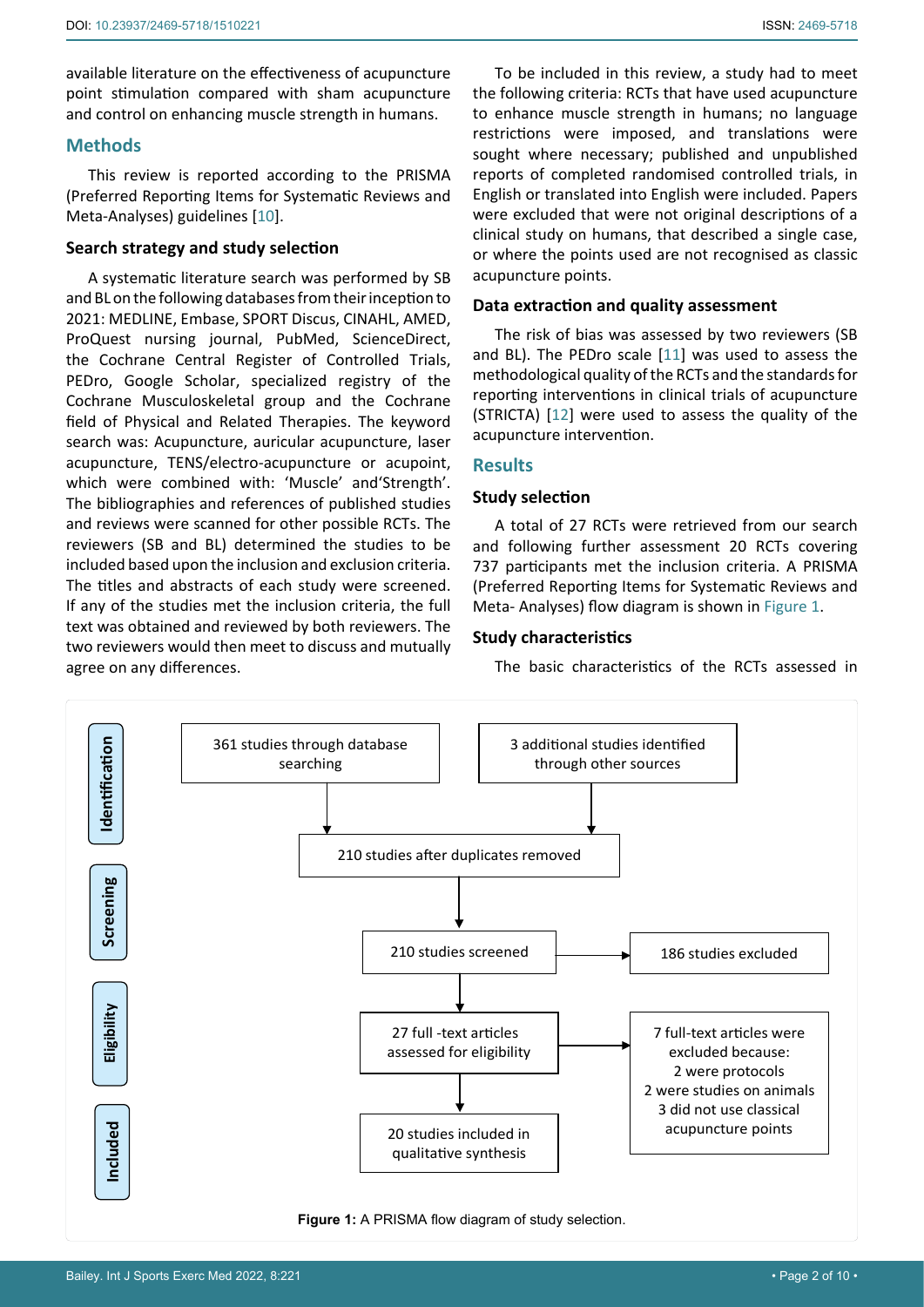available literature on the effectiveness of acupuncture point stimulation compared with sham acupuncture and control on enhancing muscle strength in humans.

# **Methods**

This review is reported according to the PRISMA (Preferred Reporting Items for Systematic Reviews and Meta-Analyses) guidelines [[10\]](#page-8-11).

# **Search strategy and study selection**

A systematic literature search was performed by SB and BL on the following databases from their inception to 2021: MEDLINE, Embase, SPORT Discus, CINAHL, AMED, ProQuest nursing journal, PubMed, ScienceDirect, the Cochrane Central Register of Controlled Trials, PEDro, Google Scholar, specialized registry of the Cochrane Musculoskeletal group and the Cochrane field of Physical and Related Therapies. The keyword search was: Acupuncture, auricular acupuncture, laser acupuncture, TENS/electro-acupuncture or acupoint, which were combined with: 'Muscle' and'Strength'. The bibliographies and references of published studies and reviews were scanned for other possible RCTs. The reviewers (SB and BL) determined the studies to be included based upon the inclusion and exclusion criteria. The titles and abstracts of each study were screened. If any of the studies met the inclusion criteria, the full text was obtained and reviewed by both reviewers. The two reviewers would then meet to discuss and mutually agree on any differences.

To be included in this review, a study had to meet the following criteria: RCTs that have used acupuncture to enhance muscle strength in humans; no language restrictions were imposed, and translations were sought where necessary; published and unpublished reports of completed randomised controlled trials, in English or translated into English were included. Papers were excluded that were not original descriptions of a clinical study on humans, that described a single case, or where the points used are not recognised as classic acupuncture points.

# **Data extraction and quality assessment**

The risk of bias was assessed by two reviewers (SB and BL). The PEDro scale [[11\]](#page-8-9) was used to assess the methodological quality of the RCTs and the standards for reporting interventions in clinical trials of acupuncture (STRICTA) [\[12\]](#page-8-10) were used to assess the quality of the acupuncture intervention.

# **Results**

#### **Study selection**

A total of 27 RCTs were retrieved from our search and following further assessment 20 RCTs covering 737 participants met the inclusion criteria. A PRISMA (Preferred Reporting Items for Systematic Reviews and Meta- Analyses) flow diagram is shown in [Figure 1](#page-1-0).

# **Study characteristics**

The basic characteristics of the RCTs assessed in

<span id="page-1-0"></span>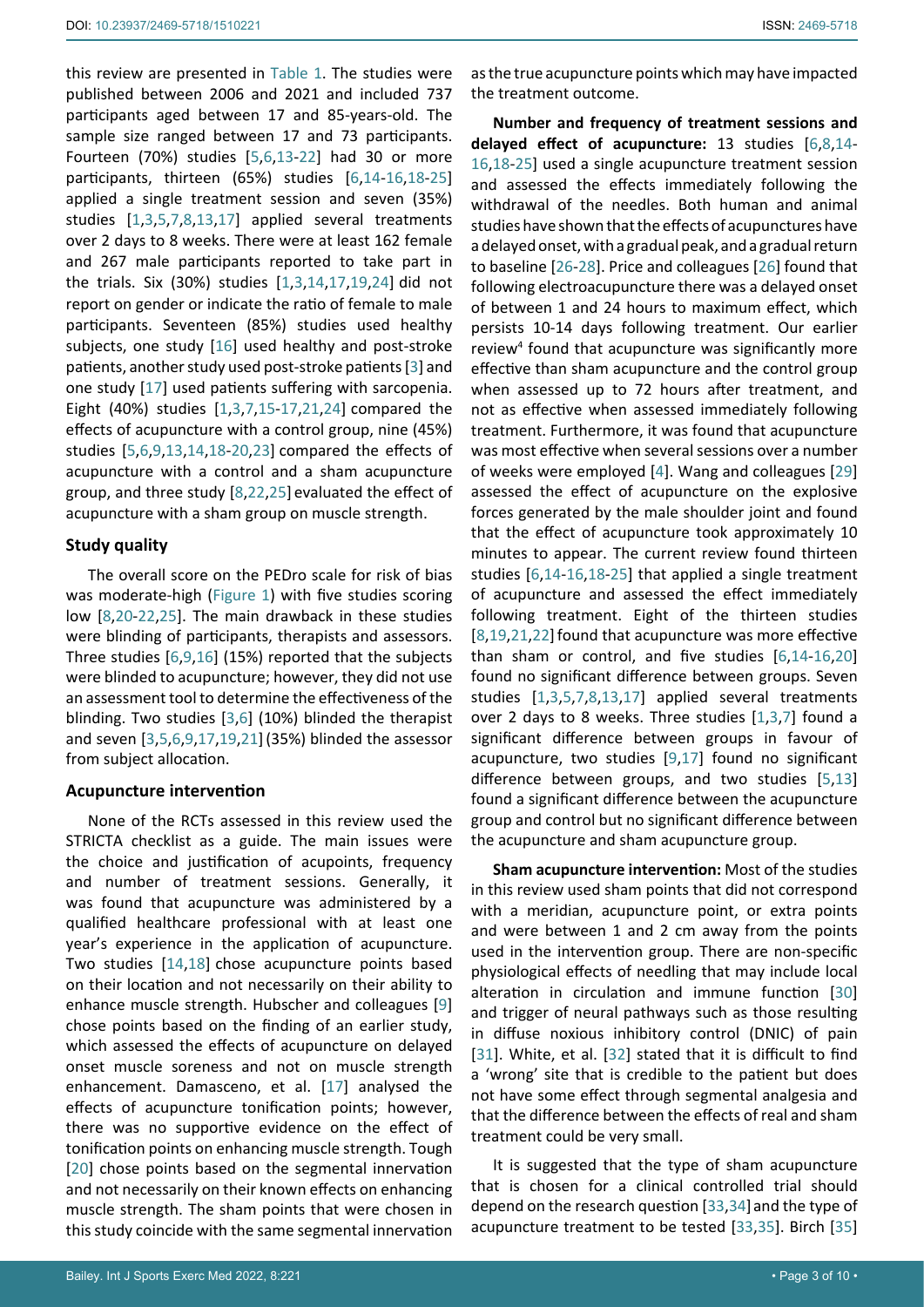this review are presented in [Table 1.](#page-3-0) The studies were published between 2006 and 2021 and included 737 participants aged between 17 and 85-years-old. The sample size ranged between 17 and 73 participants. Fourteen (70%) studies [[5](#page-8-4),[6](#page-8-6)[,13](#page-8-19)-[22](#page-8-17)] had 30 or more participants, thirteen (65%) studies [[6](#page-8-6)[,14](#page-8-12)-[16,](#page-8-13)[18-](#page-8-14)[25](#page-9-0)] applied a single treatment session and seven (35%) studies [[1,](#page-8-0)[3,](#page-8-2)[5](#page-8-4),[7](#page-8-8)[,8,](#page-8-5)[13](#page-8-19)[,17\]](#page-8-20) applied several treatments over 2 days to 8 weeks. There were at least 162 female and 267 male participants reported to take part in the trials. Six (30%) studies [\[1,](#page-8-0)[3](#page-8-2),[14](#page-8-12),[17,](#page-8-20)[19,](#page-8-15)[24](#page-9-10)] did not report on gender or indicate the ratio of female to male participants. Seventeen (85%) studies used healthy subjects, one study [[16\]](#page-8-13) used healthy and post-stroke patients, another study used post-stroke patients [\[3\]](#page-8-2) and one study [[17\]](#page-8-20) used patients suffering with sarcopenia. Eight (40%) studies [\[1,](#page-8-0)[3](#page-8-2)[,7,](#page-8-8)[15](#page-8-21)-[17](#page-8-20),[21,](#page-8-16)[24](#page-9-10)] compared the effects of acupuncture with a control group, nine (45%) studies [[5](#page-8-4)[,6](#page-8-6)[,9](#page-8-7),[13,](#page-8-19)[14,](#page-8-12)[18-](#page-8-14)[20](#page-8-18),[23](#page-9-11)] compared the effects of acupuncture with a control and a sham acupuncture group, and three study [\[8,](#page-8-5)[22](#page-8-17),[25](#page-9-0)] evaluated the effect of acupuncture with a sham group on muscle strength.

#### **Study quality**

The overall score on the PEDro scale for risk of bias was moderate-high [\(Figure 1](#page-1-0)) with five studies scoring low [\[8,](#page-8-5)[20](#page-8-18)-[22](#page-8-17),[25](#page-9-0)]. The main drawback in these studies were blinding of participants, therapists and assessors. Three studies [[6](#page-8-6)[,9](#page-8-7)[,16\]](#page-8-13) (15%) reported that the subjects were blinded to acupuncture; however, they did not use an assessment tool to determine the effectiveness of the blinding. Two studies [[3](#page-8-2)[,6\]](#page-8-6) (10%) blinded the therapist and seven [\[3,](#page-8-2)[5](#page-8-4),[6](#page-8-6)[,9,](#page-8-7)[17](#page-8-20)[,19,](#page-8-15)[21](#page-8-16)](35%) blinded the assessor from subject allocation.

#### **Acupuncture intervention**

None of the RCTs assessed in this review used the STRICTA checklist as a guide. The main issues were the choice and justification of acupoints, frequency and number of treatment sessions. Generally, it was found that acupuncture was administered by a qualified healthcare professional with at least one year's experience in the application of acupuncture. Two studies [\[14](#page-8-12)[,18](#page-8-14)] chose acupuncture points based on their location and not necessarily on their ability to enhance muscle strength. Hubscher and colleagues [[9](#page-8-7)] chose points based on the finding of an earlier study, which assessed the effects of acupuncture on delayed onset muscle soreness and not on muscle strength enhancement. Damasceno, et al. [\[17](#page-8-20)] analysed the effects of acupuncture tonification points; however, there was no supportive evidence on the effect of tonification points on enhancing muscle strength. Tough [[20](#page-8-18)] chose points based on the segmental innervation and not necessarily on their known effects on enhancing muscle strength. The sham points that were chosen in this study coincide with the same segmental innervation

as the true acupuncture points which may have impacted the treatment outcome.

**Number and frequency of treatment sessions and delayed effect of acupuncture:** 13 studies [[6](#page-8-6),[8](#page-8-5)[,14](#page-8-12)- [16,](#page-8-13)[18-](#page-8-14)[25](#page-9-0)] used a single acupuncture treatment session and assessed the effects immediately following the withdrawal of the needles. Both human and animal studies have shown that the effects of acupunctures have a delayed onset, with a gradual peak, and a gradual return to baseline [\[26](#page-9-1)-[28\]](#page-9-2). Price and colleagues [[26\]](#page-9-1) found that following electroacupuncture there was a delayed onset of between 1 and 24 hours to maximum effect, which persists 10-14 days following treatment. Our earlier review4 found that acupuncture was significantly more effective than sham acupuncture and the control group when assessed up to 72 hours after treatment, and not as effective when assessed immediately following treatment. Furthermore, it was found that acupuncture was most effective when several sessions over a number of weeks were employed [\[4](#page-8-3)]. Wang and colleagues [\[29](#page-9-3)] assessed the effect of acupuncture on the explosive forces generated by the male shoulder joint and found that the effect of acupuncture took approximately 10 minutes to appear. The current review found thirteen studies [\[6](#page-8-6)[,14-](#page-8-12)[16](#page-8-13),[18](#page-8-14)[-25\]](#page-9-0) that applied a single treatment of acupuncture and assessed the effect immediately following treatment. Eight of the thirteen studies [\[8,](#page-8-5)[19](#page-8-15)[,21](#page-8-16),[22](#page-8-17)] found that acupuncture was more effective than sham or control, and five studies [[6](#page-8-6),[14](#page-8-12)[-16](#page-8-13),[20](#page-8-18)] found no significant difference between groups. Seven studies [\[1](#page-8-0)[,3,](#page-8-2)[5](#page-8-4)[,7,](#page-8-8)[8,](#page-8-5)[13,](#page-8-19)[17\]](#page-8-20) applied several treatments over 2 days to 8 weeks. Three studies [[1](#page-8-0),[3,](#page-8-2)[7\]](#page-8-8) found a significant difference between groups in favour of acupuncture, two studies [[9](#page-8-7)[,17](#page-8-20)] found no significant difference between groups, and two studies [[5](#page-8-4)[,13](#page-8-19)] found a significant difference between the acupuncture group and control but no significant difference between the acupuncture and sham acupuncture group.

**Sham acupuncture intervention:** Most of the studies in this review used sham points that did not correspond with a meridian, acupuncture point, or extra points and were between 1 and 2 cm away from the points used in the intervention group. There are non-specific physiological effects of needling that may include local alteration in circulation and immune function [\[30](#page-9-4)] and trigger of neural pathways such as those resulting in diffuse noxious inhibitory control (DNIC) of pain [\[31](#page-9-5)]. White, et al. [\[32](#page-9-6)] stated that it is difficult to find a 'wrong' site that is credible to the patient but does not have some effect through segmental analgesia and that the difference between the effects of real and sham treatment could be very small.

It is suggested that the type of sham acupuncture that is chosen for a clinical controlled trial should depend on the research question [[33](#page-9-7),[34](#page-9-8)] and the type of acupuncture treatment to be tested [\[33,](#page-9-7)[35](#page-9-9)]. Birch [\[35](#page-9-9)]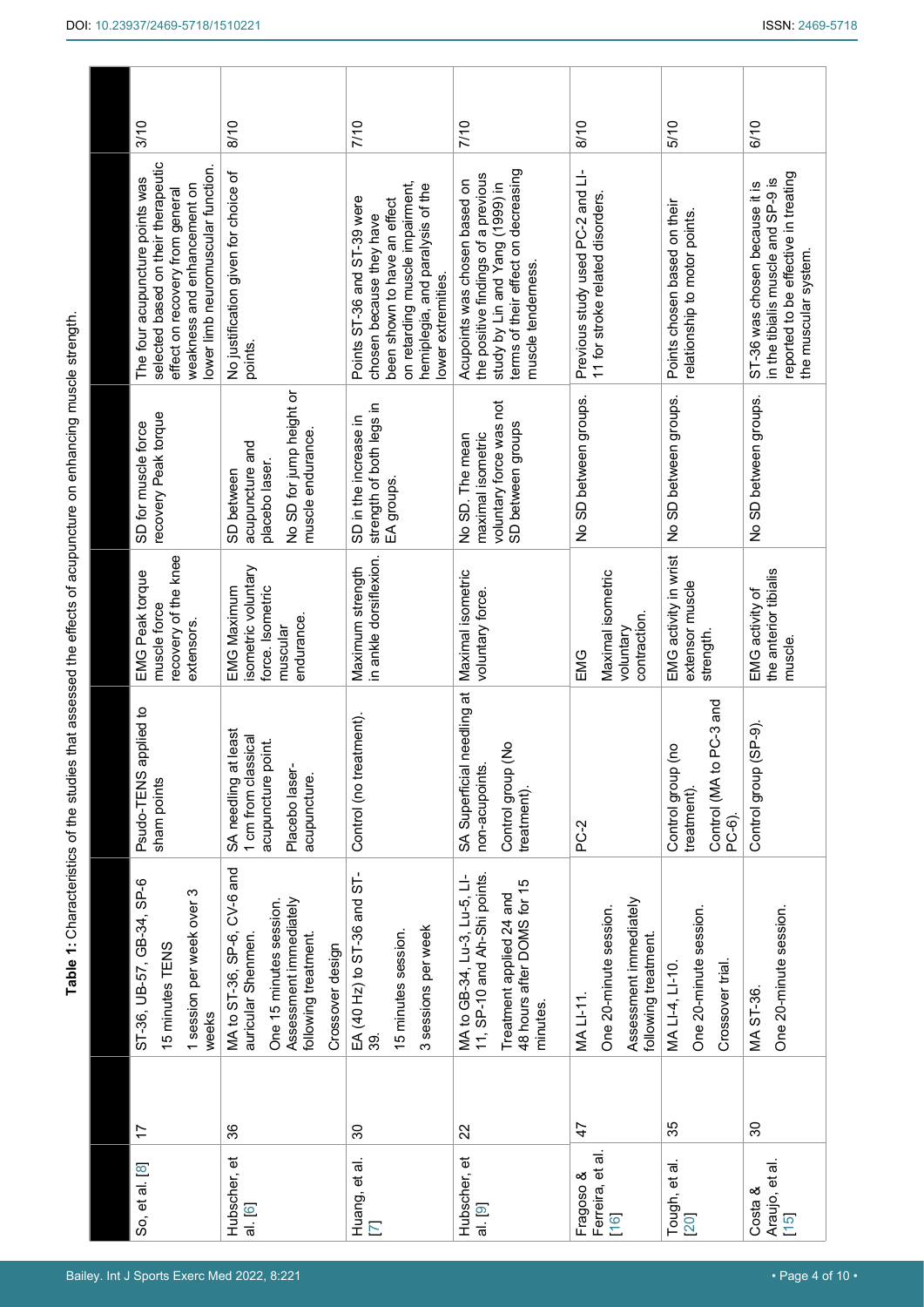<span id="page-3-0"></span>

| 3/10                                                                                                                                                                           | 8/10                                                                                                                                               | 7/10                                                                                                                                                                                 | 7/10                                                                                                                                                                 | 8/10                                                                                  | 5/10                                                                    | 6/10                                                                                                                                 |
|--------------------------------------------------------------------------------------------------------------------------------------------------------------------------------|----------------------------------------------------------------------------------------------------------------------------------------------------|--------------------------------------------------------------------------------------------------------------------------------------------------------------------------------------|----------------------------------------------------------------------------------------------------------------------------------------------------------------------|---------------------------------------------------------------------------------------|-------------------------------------------------------------------------|--------------------------------------------------------------------------------------------------------------------------------------|
| selected based on their therapeutic<br>lower limb neuromuscular function.<br>The four acupuncture points was<br>weakness and enhancement on<br>effect on recovery from general | No justification given for choice of<br>points.                                                                                                    | on retarding muscle impairment,<br>hemiplegia, and paralysis of the<br>Points ST-36 and ST-39 were<br>been shown to have an effect<br>chosen because they have<br>lower extremities. | terms of their effect on decreasing<br>the positive findings of a previous<br>Acupoints was chosen based on<br>study by Lin and Yang (1999) in<br>muscle tenderness. | Previous study used PC-2 and LI-<br>11 for stroke related disorders.                  | Points chosen based on their<br>relationship to motor points.           | reported to be effective in treating<br>in the tibialis muscle and SP-9 is<br>ST-36 was chosen because it is<br>the muscular system. |
| recovery Peak torque<br>SD for muscle force                                                                                                                                    | No SD for jump height or<br>muscle endurance.<br>acupuncture and<br>placebo laser.<br>SD between                                                   | strength of both legs in<br>SD in the increase in<br>EA groups.                                                                                                                      | voluntary force was not<br>SD between groups<br>maximal isometric<br>No SD. The mean                                                                                 | No SD between groups.                                                                 | No SD between groups.                                                   | No SD between groups.                                                                                                                |
| recovery of the knee<br>EMG Peak torque<br>muscle force<br>extensors.                                                                                                          | isometric voluntary<br><b>EMG Maximum</b><br>force. Isometric<br>endurance.<br>muscular                                                            | in ankle dorsiflexion.<br>Maximum strength                                                                                                                                           | Maximal isometric<br>voluntary force.                                                                                                                                | Maximal isometric<br>contraction.<br>voluntary<br>EMG                                 | EMG activity in wrist<br>extensor muscle<br>strength.                   | the anterior tibialis<br>EMG activity of<br>muscle.                                                                                  |
| applied to<br>Psudo-TENS<br>sham points                                                                                                                                        | SA needling at least<br>1 cm from classical<br>acupuncture point.<br>Placebo laser-<br>acupuncture.                                                | Control (no treatment).                                                                                                                                                              | needling at<br>Control group (No<br>SA Superficial<br>non-acupoints.<br>treatment)                                                                                   | PC-2                                                                                  | PC-3 and<br>Control group (no<br>Control (MA to<br>treatment)<br>PC-6). | Control group (SP-9).                                                                                                                |
| ST-36, UB-57, GB-34, SP-6<br>1 session per week over 3<br>15 minutes TENS<br>weeks                                                                                             | MA to ST-36, SP-6, CV-6 and<br>Assessment immediately<br>One 15 minutes session.<br>following treatment.<br>auricular Shenmen.<br>Crossover design | EA (40 Hz) to ST-36 and ST-<br>3 sessions per week<br>15 minutes session.<br>39                                                                                                      | 11, SP-10 and Ah-Shi points.<br>MA to GB-34, Lu-3, Lu-5, LI-<br>48 hours after DOMS for 15<br>Treatment applied 24 and<br>minutes.                                   | Assessment immediately<br>One 20-minute session.<br>following treatment.<br>MA LI-11. | One 20-minute session.<br>Crossover trial.<br>MALI-4, LI-10.            | One 20-minute session.<br>MA ST-36.                                                                                                  |
| 17                                                                                                                                                                             | 36                                                                                                                                                 | $\mathcal{S}^{\mathcal{O}}$                                                                                                                                                          | 22                                                                                                                                                                   | 47                                                                                    | 35                                                                      | 30                                                                                                                                   |
| So, et al. [8]                                                                                                                                                                 | Hubscher, et<br>al. [6]                                                                                                                            | Huang, et al.<br>$\overline{\phantom{0}}$                                                                                                                                            | Hubscher, et<br>al.[9]                                                                                                                                               | Ferreira, et al.<br>Fragoso &<br>16                                                   | Tough, et al.<br>20                                                     | Araujo, et al.<br>Costa &<br>$[15]$                                                                                                  |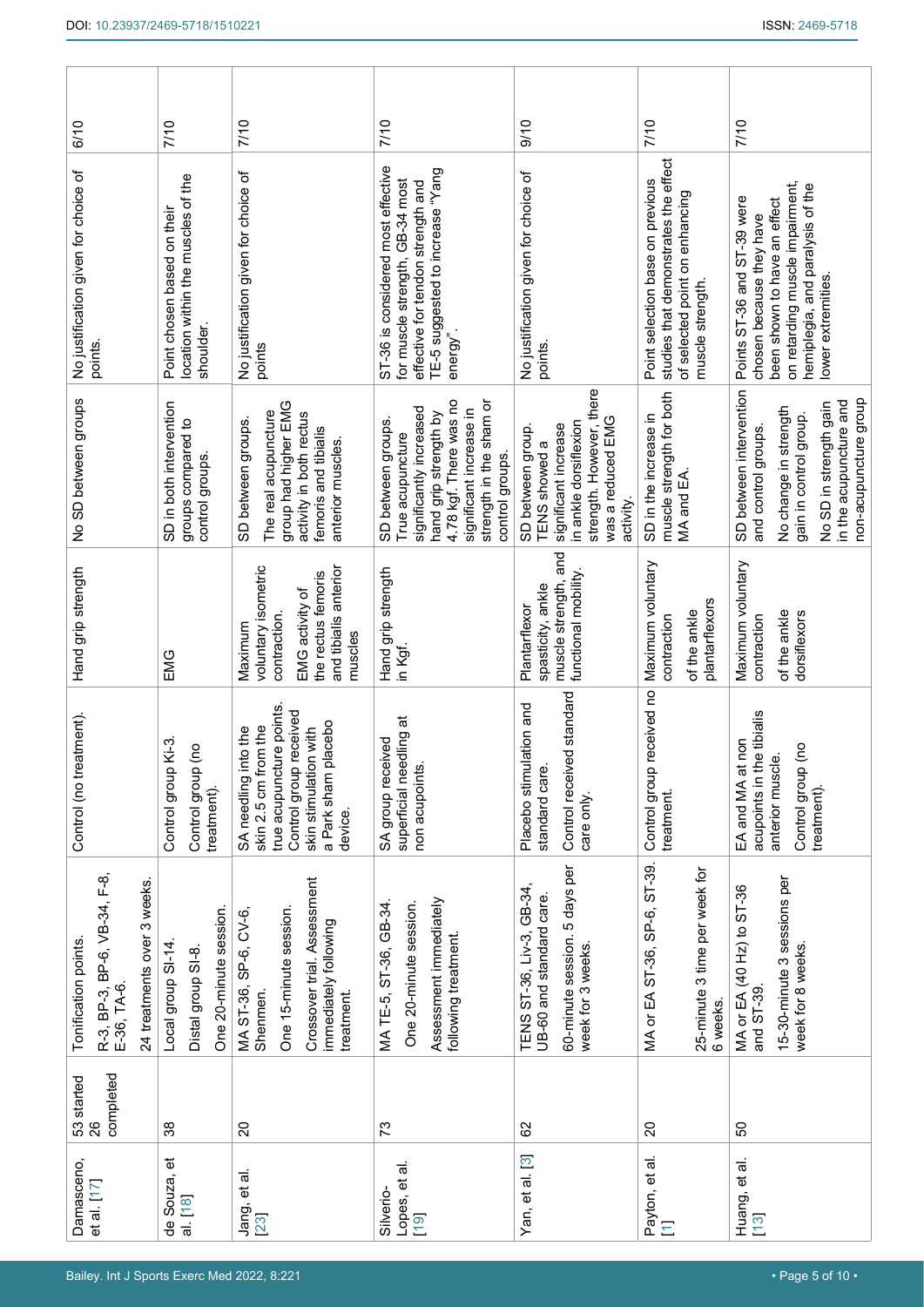| 6/10                                                                                               | 7/10                                                                                   | 7/10                                                                                                                                                             | 7/10                                                                                                                                                                                          | 0/10                                                                                                                                              | 7/10                                                                                                                           | 7/10                                                                                                                                                                                 |
|----------------------------------------------------------------------------------------------------|----------------------------------------------------------------------------------------|------------------------------------------------------------------------------------------------------------------------------------------------------------------|-----------------------------------------------------------------------------------------------------------------------------------------------------------------------------------------------|---------------------------------------------------------------------------------------------------------------------------------------------------|--------------------------------------------------------------------------------------------------------------------------------|--------------------------------------------------------------------------------------------------------------------------------------------------------------------------------------|
| No justification given for choice of<br>points.                                                    | location within the muscles of the<br>Point chosen based on their<br>shoulder.         | No justification given for choice of<br>points                                                                                                                   | ST-36 is considered most effective<br>TE-5 suggested to increase "Yang<br>for muscle strength, GB-34 most<br>effective for tendon strength and<br>energy".                                    | No justification given for choice of<br>points.                                                                                                   | studies that demonstrates the effect<br>Point selection base on previous<br>of selected point on enhancing<br>muscle strength. | on retarding muscle impairment,<br>hemiplegia, and paralysis of the<br>Points ST-36 and ST-39 were<br>been shown to have an effect<br>chosen because they have<br>lower extremities. |
| No SD between groups                                                                               | SD in both intervention<br>groups compared to<br>control groups.                       | group had higher EMG<br>The real acupuncture<br>activity in both rectus<br>SD between groups.<br>femoris and tibialis<br>anterior muscles.                       | 4.78 kgf. There was no<br>strength in the sham or<br>significantly increased<br>significant increase in<br>hand grip strength by<br>SD between groups.<br>True acupuncture<br>control groups. | strength. However, there<br>was a reduced EMG<br>in ankle dorsiflexion<br>significant increase<br>SD between group.<br>TENS showed a<br>activity. | muscle strength for both<br>SD in the increase in<br>MA and EA.                                                                | SD between intervention<br>non-acupuncture group<br>in the acupuncture and<br>No SD in strength gain<br>No change in strength<br>gain in control group.<br>and control groups.       |
| Hand grip strength                                                                                 | EMG                                                                                    | voluntary isometric<br>and tibialis anterior<br>the rectus femoris<br>EMG activity of<br>contraction.<br>Maximum<br>muscles                                      | Hand grip strength<br>in Kgf.                                                                                                                                                                 | muscle strength, and<br>functional mobility<br>spasticity, ankle<br>Plantarflexor                                                                 | Maximum voluntary<br>plantarflexors<br>of the ankle<br>contraction                                                             | Maximum voluntary<br>of the ankle<br>dorsiflexors<br>contraction                                                                                                                     |
| eatment).<br>Control (no tre                                                                       | $\overline{K}$ -3.<br>$\widetilde{c}$<br>Control group<br>Control group<br>treatment). | true acupuncture points.<br>received<br>a Park sham placebo<br>skin 2.5 cm from the<br>skin stimulation with<br>SA needling into the<br>Control group<br>device. | superficial needling at<br>SA group received<br>non acupoints.                                                                                                                                | ed standard<br>Placebo stimulation and<br>standard care<br>Control receiv<br>care only.                                                           | received no<br>Control group<br>treatment.                                                                                     | acupoints in the tibialis<br>non<br>$\tilde{e}$<br>$\vec{\sigma}$<br>EA and MA at<br>anterior musc<br>Control group<br>treatment).                                                   |
| R-3, BP-3, BP-6, VB-34, F-8,<br>E-36, TA-6.<br>24 treatments over 3 weeks.<br>Tonification points. | One 20-minute session.<br>Local group SI-14<br>Distal group SI-8.                      | Crossover trial. Assessment<br>One 15-minute session.<br>MA ST-36, SP-6, CV-6,<br>immediately following<br>Shenmen.<br>treatment.                                | Assessment immediately<br>One 20-minute session.<br>MATE-5, ST-36, GB-34<br>following treatment.                                                                                              | 60-minute session. 5 days per<br>TENS ST-36, Liv-3, GB-34,<br>UB-60 and standard care.<br>week for 3 weeks.                                       | MA or EA ST-36, SP-6, ST-39.<br>25-minute 3 time per week for<br>6 weeks.                                                      | 15-30-minute 3 sessions per<br>MA or EA (40 Hz) to ST-36<br>week for 8 weeks.<br>and ST-39.                                                                                          |
| completed<br>53 started<br>26                                                                      | 38                                                                                     | $\overline{c}$                                                                                                                                                   | 73                                                                                                                                                                                            | 82                                                                                                                                                | $\Omega$                                                                                                                       | 50                                                                                                                                                                                   |
| Damasceno,<br>et al. [17]                                                                          | de Souza, et<br>al [18]                                                                | Jang, et al<br>23                                                                                                                                                | Lopes, et al.<br>Silverio-<br>19                                                                                                                                                              | Yan, et al. [3]                                                                                                                                   | Payton, et al.<br>[1]                                                                                                          | Huang, et al.<br>13                                                                                                                                                                  |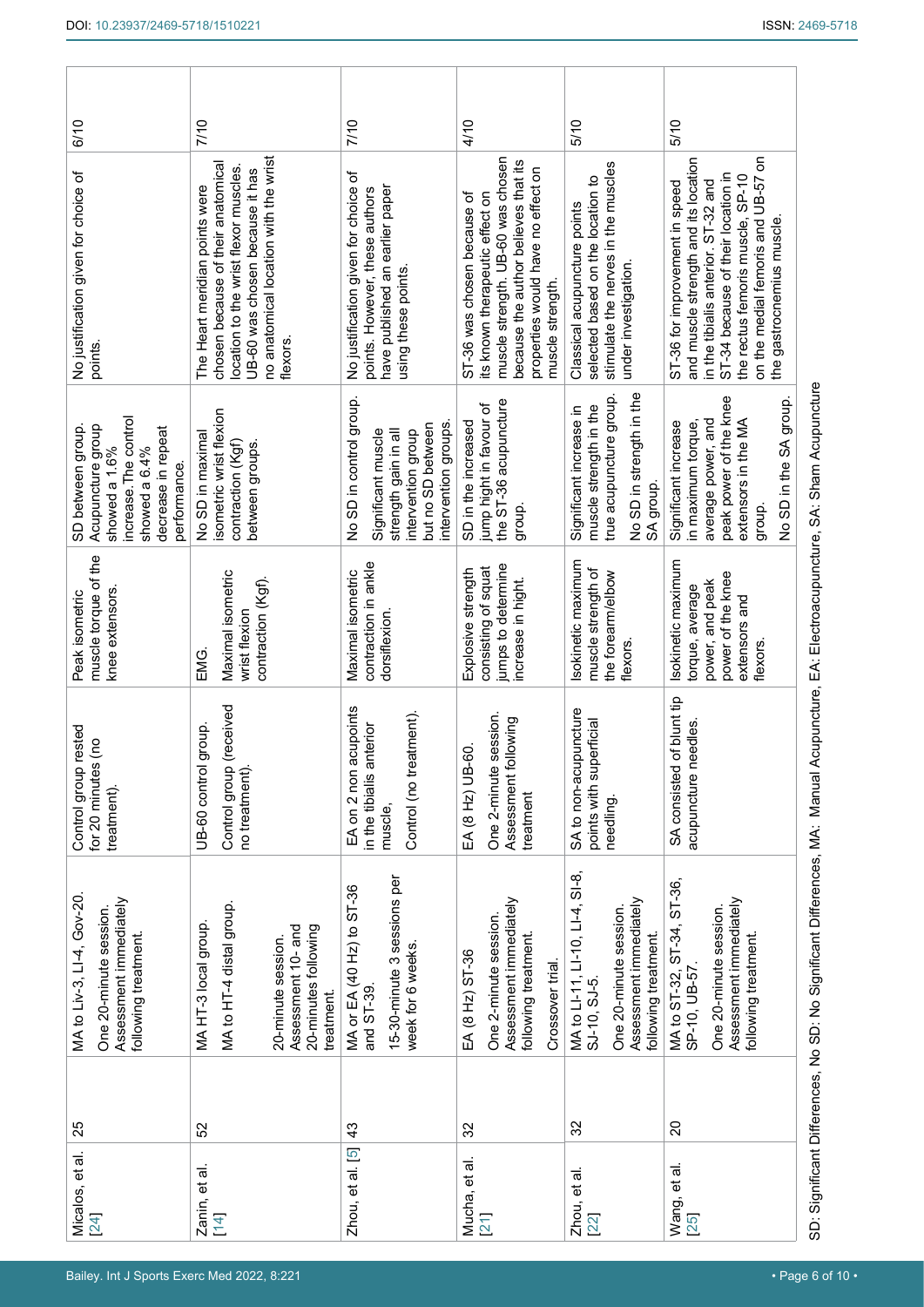| 6/10                                                                                                                                    | 7/10                                                                                                                                                                                                  | 7/10                                                                                                                                    | 4/10                                                                                                                                                                                                  | 5/10                                                                                                                             | 5/10                                                                                                                                                                                                                                                            |
|-----------------------------------------------------------------------------------------------------------------------------------------|-------------------------------------------------------------------------------------------------------------------------------------------------------------------------------------------------------|-----------------------------------------------------------------------------------------------------------------------------------------|-------------------------------------------------------------------------------------------------------------------------------------------------------------------------------------------------------|----------------------------------------------------------------------------------------------------------------------------------|-----------------------------------------------------------------------------------------------------------------------------------------------------------------------------------------------------------------------------------------------------------------|
| No justification given for choice of<br>points.                                                                                         | no anatomical location with the wrist<br>chosen because of their anatomical<br>location to the wrist flexor muscles.<br>UB-60 was chosen because it has<br>The Heart meridian points were<br>flexors. | No justification given for choice of<br>have published an earlier paper<br>points. However, these authors<br>using these points.        | muscle strength. UB-60 was chosen<br>because the author believes that its<br>properties would have no effect on<br>ST-36 was chosen because of<br>its known therapeutic effect on<br>muscle strength. | stimulate the nerves in the muscles<br>selected based on the location to<br>Classical acupuncture points<br>under investigation. | on the medial femoris and UB-57 on<br>and muscle strength and its location<br>ST-34 because of their location in<br>the rectus femoris muscle, SP-10<br>in the tibialis anterior. ST-32 and<br>ST-36 for improvement in speed<br>the gastrocnemius muscle       |
| increase. The control<br>Acupuncture group<br>SD between group.<br>decrease in repeat<br>showed a 1.6%<br>showed a 6.4%<br>performance. | isometric wrist flexion<br>No SD in maximal<br>contraction (Kgf)<br>between groups.                                                                                                                   | No SD in control group<br>intervention groups.<br>but no SD between<br>strength gain in all<br>intervention group<br>Significant muscle | the ST-36 acupuncture<br>jump hight in favour of<br>SD in the increased<br>group.                                                                                                                     | No SD in strength in the<br>true acupuncture group.<br>muscle strength in the<br>Significant increase in<br>SA group.            | peak power of the knee<br>No SD in the SA group.<br>average power, and<br>extensors in the MA<br>in maximum torque,<br>Significant increase<br>group.                                                                                                           |
| muscle torque of the<br>knee extensors<br>Peak isometric                                                                                | Maximal isometric<br>contraction (Kgf).<br>wrist flexion<br>EMG.                                                                                                                                      | contraction in ankle<br>Maximal isometric<br>dorsiflexion.                                                                              | jumps to determine<br>consisting of squat<br>Explosive strength<br>increase in hight.                                                                                                                 | Isokinetic maximum<br>muscle strength of<br>the forearm/elbow<br>flexors.                                                        | Isokinetic maximum<br>power of the knee<br>power, and peak<br>torque, average<br>extensors and<br>flexors.                                                                                                                                                      |
| rested<br>$\tilde{\epsilon}$<br>Control group<br>for 20 minutes<br>treatment).                                                          | (received<br>group.<br>UB-60 control<br>Control group<br>no treatment).                                                                                                                               | EA on 2 non acupoints<br>Control (no treatment).<br>in the tibialis anterior<br>muscle,                                                 | session.<br>Assessment following<br>EA (8 Hz) UB-60.<br>One 2-minute<br>treatment                                                                                                                     | SA to non-acupuncture<br>points with superficial<br>needling.                                                                    | of blunt tip<br>eedles<br>SA consisted<br>acupuncture n                                                                                                                                                                                                         |
| MA to Liv-3, LI-4, Gov-20<br>Assessment immediately<br>One 20-minute session.<br>following treatment.                                   | MA to HT-4 distal group.<br>MA HT-3 local group.<br>Assessment 10- and<br>20-minutes following<br>20-minute session.<br>treatment.                                                                    | 15-30-minute 3 sessions per<br>MA or EA (40 Hz) to ST-36<br>week for 6 weeks.<br>and ST-39                                              | Assessment immediately<br>One 2-minute session.<br>following treatment.<br>EA (8 Hz) ST-36<br>Crossover trial                                                                                         | MA to LI-11, LI-10, LI-4, SI-8,<br>Assessment immediately<br>One 20-minute session.<br>following treatment.<br>SJ-10, SJ-5.      | SD: Significant Differences, No SD: No Significant Differences, MA: Manual Acupuncture, EA: Electroacupuncture, SA: Sham Acupuncture<br>MA to ST-32, ST-34, ST-36,<br>Assessment immediately<br>One 20-minute session.<br>following treatment.<br>SP-10, UB-57. |
| 25                                                                                                                                      | 52                                                                                                                                                                                                    | $\frac{3}{4}$                                                                                                                           | 32                                                                                                                                                                                                    | 32                                                                                                                               | $\overline{c}$                                                                                                                                                                                                                                                  |
| Micalos, et al.<br>24                                                                                                                   | Zanin, et al.<br>14                                                                                                                                                                                   | Zhou, et al. [5]                                                                                                                        | Mucha, et al.<br>21                                                                                                                                                                                   | Zhou, et al.<br>22                                                                                                               | Wang, et al.<br>25                                                                                                                                                                                                                                              |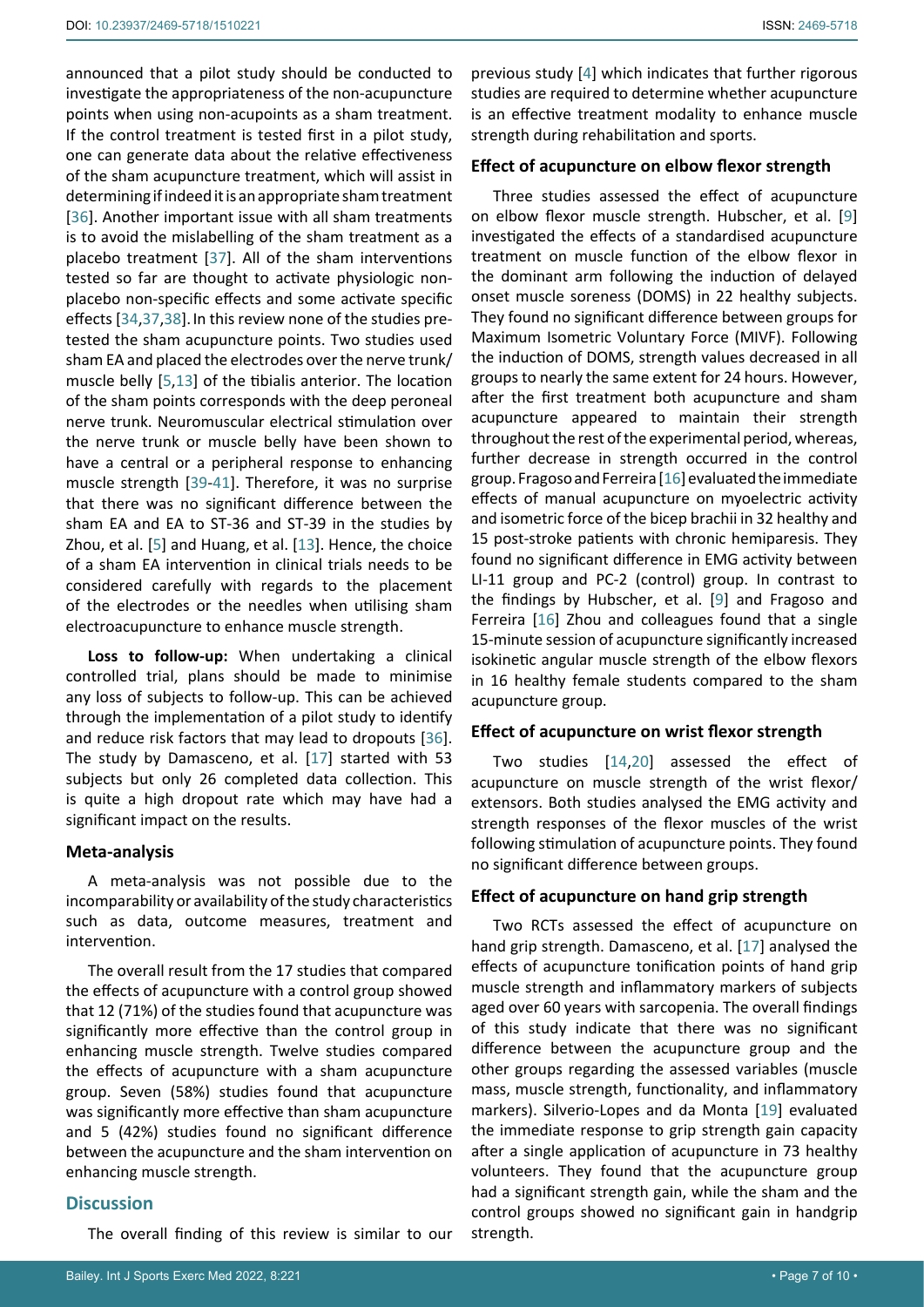announced that a pilot study should be conducted to investigate the appropriateness of the non-acupuncture points when using non-acupoints as a sham treatment. If the control treatment is tested first in a pilot study, one can generate data about the relative effectiveness of the sham acupuncture treatment, which will assist in determining if indeed it is an appropriate sham treatment [[36\]](#page-9-12). Another important issue with all sham treatments is to avoid the mislabelling of the sham treatment as a placebo treatment [[37](#page-9-13)]. All of the sham interventions tested so far are thought to activate physiologic nonplacebo non-specific effects and some activate specific effects [[34](#page-9-8),[37](#page-9-13),[38\]](#page-9-14).In this review none of the studies pretested the sham acupuncture points. Two studies used sham EA and placed the electrodes over the nerve trunk/ muscle belly [[5,](#page-8-4)[13](#page-8-19)] of the tibialis anterior. The location of the sham points corresponds with the deep peroneal nerve trunk. Neuromuscular electrical stimulation over the nerve trunk or muscle belly have been shown to have a central or a peripheral response to enhancing muscle strength [[39-](#page-9-15)[41](#page-9-16)]. Therefore, it was no surprise that there was no significant difference between the sham EA and EA to ST-36 and ST-39 in the studies by Zhou, et al. [[5](#page-8-4)] and Huang, et al. [[13](#page-8-19)]. Hence, the choice of a sham EA intervention in clinical trials needs to be considered carefully with regards to the placement of the electrodes or the needles when utilising sham electroacupuncture to enhance muscle strength.

**Loss to follow-up:** When undertaking a clinical controlled trial, plans should be made to minimise any loss of subjects to follow-up. This can be achieved through the implementation of a pilot study to identify and reduce risk factors that may lead to dropouts [\[36](#page-9-12)]. The study by Damasceno, et al. [\[17](#page-8-20)] started with 53 subjects but only 26 completed data collection. This is quite a high dropout rate which may have had a significant impact on the results.

#### **Meta-analysis**

A meta-analysis was not possible due to the incomparability or availability of the study characteristics such as data, outcome measures, treatment and intervention.

The overall result from the 17 studies that compared the effects of acupuncture with a control group showed that 12 (71%) of the studies found that acupuncture was significantly more effective than the control group in enhancing muscle strength. Twelve studies compared the effects of acupuncture with a sham acupuncture group. Seven (58%) studies found that acupuncture was significantly more effective than sham acupuncture and 5 (42%) studies found no significant difference between the acupuncture and the sham intervention on enhancing muscle strength.

#### **Discussion**

The overall finding of this review is similar to our

previous study [[4](#page-8-3)] which indicates that further rigorous studies are required to determine whether acupuncture is an effective treatment modality to enhance muscle strength during rehabilitation and sports.

#### **Effect of acupuncture on elbow flexor strength**

Three studies assessed the effect of acupuncture on elbow flexor muscle strength. Hubscher, et al. [[9](#page-8-7)] investigated the effects of a standardised acupuncture treatment on muscle function of the elbow flexor in the dominant arm following the induction of delayed onset muscle soreness (DOMS) in 22 healthy subjects. They found no significant difference between groups for Maximum Isometric Voluntary Force (MIVF). Following the induction of DOMS, strength values decreased in all groups to nearly the same extent for 24 hours. However, after the first treatment both acupuncture and sham acupuncture appeared to maintain their strength throughout the rest of the experimental period, whereas, further decrease in strength occurred in the control group. Fragoso and Ferreira [[16\]](#page-8-13) evaluated the immediate effects of manual acupuncture on myoelectric activity and isometric force of the bicep brachii in 32 healthy and 15 post-stroke patients with chronic hemiparesis. They found no significant difference in EMG activity between LI-11 group and PC-2 (control) group. In contrast to the findings by Hubscher, et al. [[9](#page-8-7)] and Fragoso and Ferreira [\[16](#page-8-13)] Zhou and colleagues found that a single 15-minute session of acupuncture significantly increased isokinetic angular muscle strength of the elbow flexors in 16 healthy female students compared to the sham acupuncture group.

#### **Effect of acupuncture on wrist flexor strength**

Two studies [\[14](#page-8-12),[20](#page-8-18)] assessed the effect of acupuncture on muscle strength of the wrist flexor/ extensors. Both studies analysed the EMG activity and strength responses of the flexor muscles of the wrist following stimulation of acupuncture points. They found no significant difference between groups.

#### **Effect of acupuncture on hand grip strength**

Two RCTs assessed the effect of acupuncture on hand grip strength. Damasceno, et al. [\[17\]](#page-8-20) analysed the effects of acupuncture tonification points of hand grip muscle strength and inflammatory markers of subjects aged over 60 years with sarcopenia. The overall findings of this study indicate that there was no significant difference between the acupuncture group and the other groups regarding the assessed variables (muscle mass, muscle strength, functionality, and inflammatory markers). Silverio-Lopes and da Monta [[19](#page-8-15)] evaluated the immediate response to grip strength gain capacity after a single application of acupuncture in 73 healthy volunteers. They found that the acupuncture group had a significant strength gain, while the sham and the control groups showed no significant gain in handgrip strength.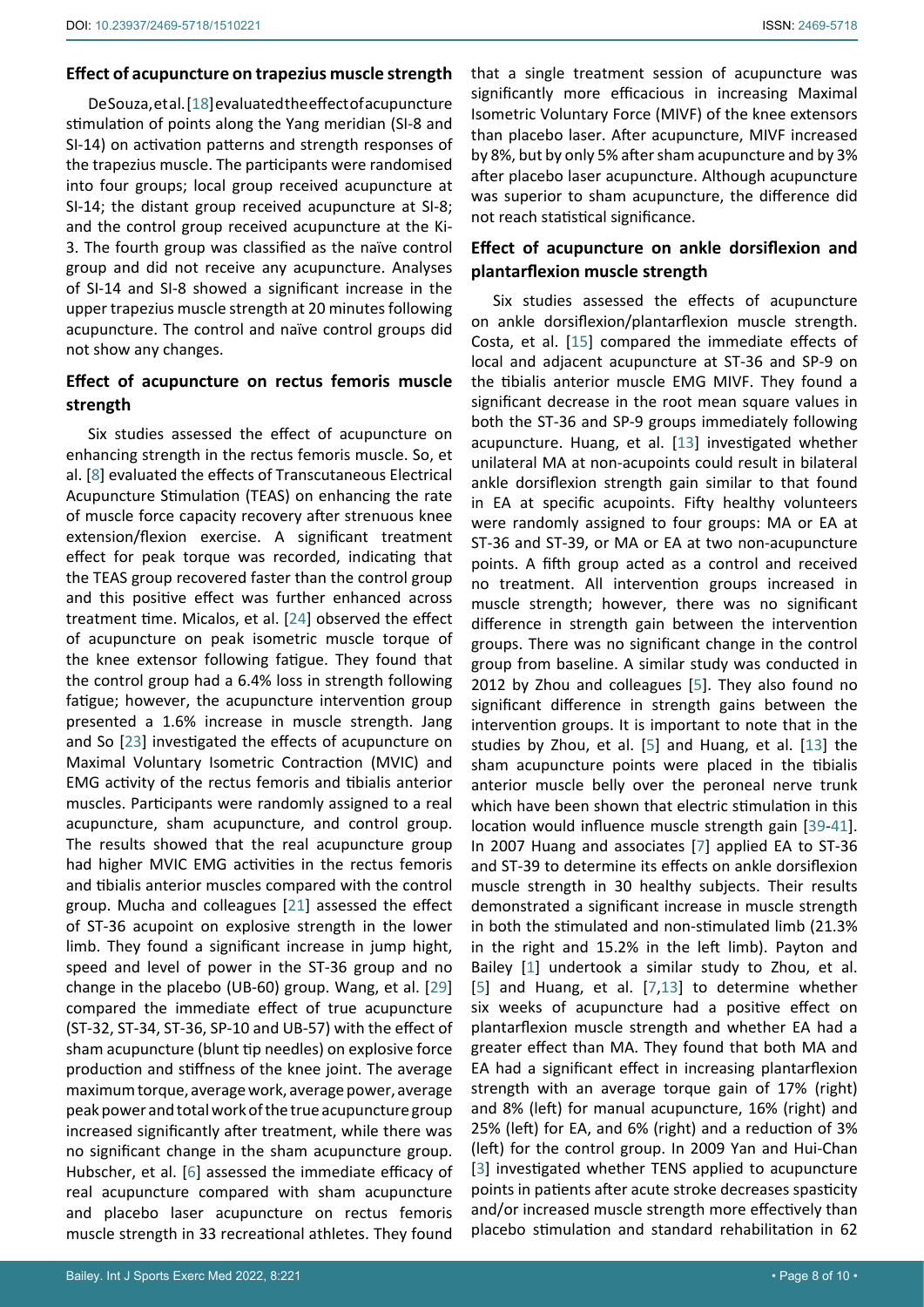#### **Effect of acupuncture on trapezius muscle strength**

De Souza, et al. [[18\]](#page-8-14) evaluated the effect of acupuncture stimulation of points along the Yang meridian (SI-8 and SI-14) on activation patterns and strength responses of the trapezius muscle. The participants were randomised into four groups; local group received acupuncture at SI-14; the distant group received acupuncture at SI-8; and the control group received acupuncture at the Ki-3. The fourth group was classified as the naïve control group and did not receive any acupuncture. Analyses of SI-14 and SI-8 showed a significant increase in the upper trapezius muscle strength at 20 minutes following acupuncture. The control and naïve control groups did not show any changes.

# **Effect of acupuncture on rectus femoris muscle strength**

Six studies assessed the effect of acupuncture on enhancing strength in the rectus femoris muscle. So, et al. [[8](#page-8-5)] evaluated the effects of Transcutaneous Electrical Acupuncture Stimulation (TEAS) on enhancing the rate of muscle force capacity recovery after strenuous knee extension/flexion exercise. A significant treatment effect for peak torque was recorded, indicating that the TEAS group recovered faster than the control group and this positive effect was further enhanced across treatment time. Micalos, et al. [\[24](#page-9-10)] observed the effect of acupuncture on peak isometric muscle torque of the knee extensor following fatigue. They found that the control group had a 6.4% loss in strength following fatigue; however, the acupuncture intervention group presented a 1.6% increase in muscle strength. Jang and So [\[23](#page-9-11)] investigated the effects of acupuncture on Maximal Voluntary Isometric Contraction (MVIC) and EMG activity of the rectus femoris and tibialis anterior muscles. Participants were randomly assigned to a real acupuncture, sham acupuncture, and control group. The results showed that the real acupuncture group had higher MVIC EMG activities in the rectus femoris and tibialis anterior muscles compared with the control group. Mucha and colleagues [\[21\]](#page-8-16) assessed the effect of ST-36 acupoint on explosive strength in the lower limb. They found a significant increase in jump hight, speed and level of power in the ST-36 group and no change in the placebo (UB-60) group. Wang, et al. [\[29](#page-9-3)] compared the immediate effect of true acupuncture (ST-32, ST-34, ST-36, SP-10 and UB-57) with the effect of sham acupuncture (blunt tip needles) on explosive force production and stiffness of the knee joint. The average maximum torque, average work, average power, average peak power and total work of the true acupuncture group increased significantly after treatment, while there was no significant change in the sham acupuncture group. Hubscher, et al. [[6](#page-8-6)] assessed the immediate efficacy of real acupuncture compared with sham acupuncture and placebo laser acupuncture on rectus femoris muscle strength in 33 recreational athletes. They found

# **Effect of acupuncture on ankle dorsiflexion and plantarflexion muscle strength**

Six studies assessed the effects of acupuncture on ankle dorsiflexion/plantarflexion muscle strength. Costa, et al. [[15](#page-8-21)] compared the immediate effects of local and adjacent acupuncture at ST-36 and SP-9 on the tibialis anterior muscle EMG MIVF. They found a significant decrease in the root mean square values in both the ST-36 and SP-9 groups immediately following acupuncture. Huang, et al. [\[13\]](#page-8-19) investigated whether unilateral MA at non-acupoints could result in bilateral ankle dorsiflexion strength gain similar to that found in EA at specific acupoints. Fifty healthy volunteers were randomly assigned to four groups: MA or EA at ST-36 and ST-39, or MA or EA at two non-acupuncture points. A fifth group acted as a control and received no treatment. All intervention groups increased in muscle strength; however, there was no significant difference in strength gain between the intervention groups. There was no significant change in the control group from baseline. A similar study was conducted in 2012 by Zhou and colleagues [[5\]](#page-8-4). They also found no significant difference in strength gains between the intervention groups. It is important to note that in the studies by Zhou, et al. [[5](#page-8-4)] and Huang, et al. [[13](#page-8-19)] the sham acupuncture points were placed in the tibialis anterior muscle belly over the peroneal nerve trunk which have been shown that electric stimulation in this location would influence muscle strength gain [[39](#page-9-15)[-41\]](#page-9-16). In 2007 Huang and associates [[7](#page-8-8)] applied EA to ST-36 and ST-39 to determine its effects on ankle dorsiflexion muscle strength in 30 healthy subjects. Their results demonstrated a significant increase in muscle strength in both the stimulated and non-stimulated limb (21.3% in the right and 15.2% in the left limb). Payton and Bailey [\[1\]](#page-8-0) undertook a similar study to Zhou, et al. [\[5\]](#page-8-4) and Huang, et al. [[7](#page-8-8),[13](#page-8-19)] to determine whether six weeks of acupuncture had a positive effect on plantarflexion muscle strength and whether EA had a greater effect than MA. They found that both MA and EA had a significant effect in increasing plantarflexion strength with an average torque gain of 17% (right) and 8% (left) for manual acupuncture, 16% (right) and 25% (left) for EA, and 6% (right) and a reduction of 3% (left) for the control group. In 2009 Yan and Hui-Chan [\[3\]](#page-8-2) investigated whether TENS applied to acupuncture points in patients after acute stroke decreases spasticity and/or increased muscle strength more effectively than placebo stimulation and standard rehabilitation in 62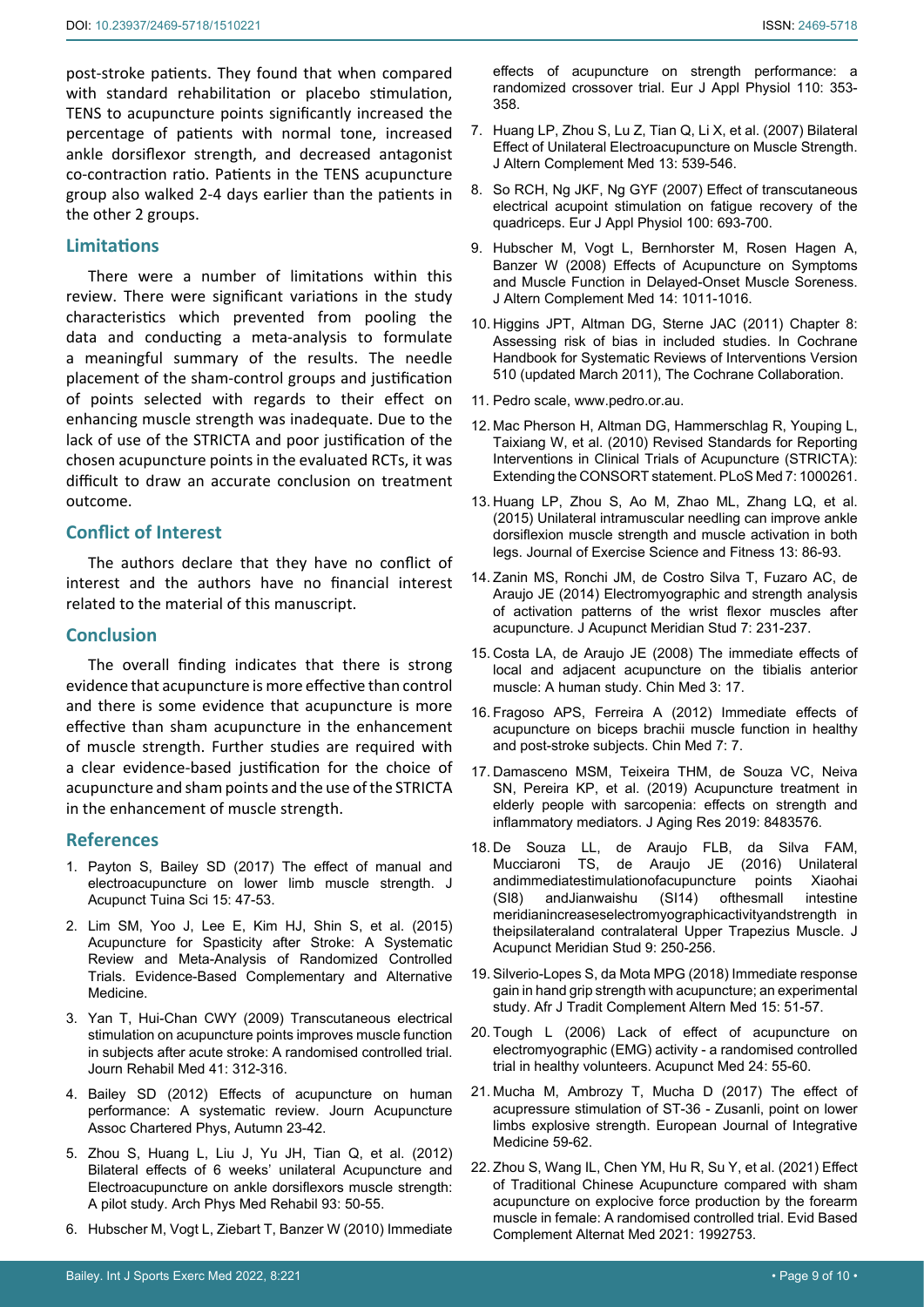post-stroke patients. They found that when compared with standard rehabilitation or placebo stimulation, TENS to acupuncture points significantly increased the percentage of patients with normal tone, increased ankle dorsiflexor strength, and decreased antagonist co-contraction ratio. Patients in the TENS acupuncture group also walked 2-4 days earlier than the patients in the other 2 groups.

# **Limitations**

There were a number of limitations within this review. There were significant variations in the study characteristics which prevented from pooling the data and conducting a meta-analysis to formulate a meaningful summary of the results. The needle placement of the sham-control groups and justification of points selected with regards to their effect on enhancing muscle strength was inadequate. Due to the lack of use of the STRICTA and poor justification of the chosen acupuncture points in the evaluated RCTs, it was difficult to draw an accurate conclusion on treatment outcome.

# **Conflict of Interest**

The authors declare that they have no conflict of interest and the authors have no financial interest related to the material of this manuscript.

# **Conclusion**

The overall finding indicates that there is strong evidence that acupuncture is more effective than control and there is some evidence that acupuncture is more effective than sham acupuncture in the enhancement of muscle strength. Further studies are required with a clear evidence-based justification for the choice of acupuncture and sham points and the use of the STRICTA in the enhancement of muscle strength.

#### **References**

- <span id="page-8-0"></span>1. [Payton S, Bailey SD \(2017\) The effect of manual and](https://www.infona.pl/resource/bwmeta1.element.springer-doi-10_1007-S11726-017-0974-2)  [electroacupuncture on lower limb muscle strength. J](https://www.infona.pl/resource/bwmeta1.element.springer-doi-10_1007-S11726-017-0974-2)  [Acupunct Tuina Sci 15: 47-53.](https://www.infona.pl/resource/bwmeta1.element.springer-doi-10_1007-S11726-017-0974-2)
- <span id="page-8-1"></span>2. Lim SM, Yoo J, Lee E, Kim HJ, Shin S, et al. (2015) Acupuncture for Spasticity after Stroke: A Systematic Review and Meta-Analysis of Randomized Controlled Trials. Evidence-Based Complementary and Alternative Medicine.
- <span id="page-8-2"></span>3. [Yan T, Hui-Chan CWY \(2009\) Transcutaneous electrical](https://pubmed.ncbi.nlm.nih.gov/19363561/)  [stimulation on acupuncture points improves muscle function](https://pubmed.ncbi.nlm.nih.gov/19363561/)  [in subjects after acute stroke: A randomised controlled trial.](https://pubmed.ncbi.nlm.nih.gov/19363561/)  [Journ Rehabil Med 41: 312-316.](https://pubmed.ncbi.nlm.nih.gov/19363561/)
- <span id="page-8-3"></span>4. Bailey SD (2012) Effects of acupuncture on human performance: A systematic review. Journ Acupuncture Assoc Chartered Phys, Autumn 23-42.
- <span id="page-8-4"></span>5. [Zhou S, Huang L, Liu J, Yu JH, Tian Q, et al. \(2012\)](https://pubmed.ncbi.nlm.nih.gov/22075372/)  [Bilateral effects of 6 weeks' unilateral Acupuncture and](https://pubmed.ncbi.nlm.nih.gov/22075372/)  [Electroacupuncture on ankle dorsiflexors muscle strength:](https://pubmed.ncbi.nlm.nih.gov/22075372/)  [A pilot study. Arch Phys Med Rehabil 93: 50-55.](https://pubmed.ncbi.nlm.nih.gov/22075372/)
- <span id="page-8-6"></span>6. [Hubscher M, Vogt L, Ziebart T, Banzer W \(2010\) Immediate](https://pubmed.ncbi.nlm.nih.gov/20499248/)

[effects of acupuncture on strength performance: a](https://pubmed.ncbi.nlm.nih.gov/20499248/)  [randomized crossover trial. Eur J Appl Physiol 110: 353-](https://pubmed.ncbi.nlm.nih.gov/20499248/) [358.](https://pubmed.ncbi.nlm.nih.gov/20499248/)

- <span id="page-8-8"></span>7. [Huang LP, Zhou S, Lu Z, Tian Q, Li X, et al. \(2007\) Bilateral](https://pubmed.ncbi.nlm.nih.gov/17604558/)  [Effect of Unilateral Electroacupuncture on Muscle Strength.](https://pubmed.ncbi.nlm.nih.gov/17604558/)  [J Altern Complement Med 13: 539-546.](https://pubmed.ncbi.nlm.nih.gov/17604558/)
- <span id="page-8-5"></span>8. [So RCH, Ng JKF, Ng GYF \(2007\) Effect of transcutaneous](https://pubmed.ncbi.nlm.nih.gov/17546460/)  [electrical acupoint stimulation on fatigue recovery of the](https://pubmed.ncbi.nlm.nih.gov/17546460/)  [quadriceps. Eur J Appl Physiol 100: 693-700.](https://pubmed.ncbi.nlm.nih.gov/17546460/)
- <span id="page-8-7"></span>9. [Hubscher M, Vogt L, Bernhorster M, Rosen Hagen A,](https://pubmed.ncbi.nlm.nih.gov/18990049/)  [Banzer W \(2008\) Effects of Acupuncture on Symptoms](https://pubmed.ncbi.nlm.nih.gov/18990049/)  [and Muscle Function in Delayed-Onset Muscle Soreness.](https://pubmed.ncbi.nlm.nih.gov/18990049/)  [J Altern Complement Med 14: 1011-1016.](https://pubmed.ncbi.nlm.nih.gov/18990049/)
- <span id="page-8-11"></span>10. Higgins JPT, Altman DG, Sterne JAC (2011) Chapter 8: Assessing risk of bias in included studies. In Cochrane Handbook for Systematic Reviews of Interventions Version 510 (updated March 2011), The Cochrane Collaboration.
- <span id="page-8-9"></span>11. Pedro scale, www.pedro.or.au.
- <span id="page-8-10"></span>12. [Mac Pherson H, Altman DG, Hammerschlag R, Youping L,](https://pubmed.ncbi.nlm.nih.gov/20543992/)  [Taixiang W, et al. \(2010\) Revised Standards for Reporting](https://pubmed.ncbi.nlm.nih.gov/20543992/)  [Interventions in Clinical Trials of Acupuncture \(STRICTA\):](https://pubmed.ncbi.nlm.nih.gov/20543992/)  [Extending the CONSORT statement. PLoS Med 7: 1000261.](https://pubmed.ncbi.nlm.nih.gov/20543992/)
- <span id="page-8-19"></span>13. [Huang LP, Zhou S, Ao M, Zhao ML, Zhang LQ, et al.](https://catalogue.unicaen.fr/discovery/)  [\(2015\) Unilateral intramuscular needling can improve ankle](https://catalogue.unicaen.fr/discovery/)  [dorsiflexion muscle strength and muscle activation in both](https://catalogue.unicaen.fr/discovery/)  [legs. Journal of Exercise Science and Fitness 13: 86-93.](https://catalogue.unicaen.fr/discovery/)
- <span id="page-8-12"></span>14. [Zanin MS, Ronchi JM, de Costro Silva T, Fuzaro AC, de](https://pubmed.ncbi.nlm.nih.gov/25441947/)  [Araujo JE \(2014\) Electromyographic and strength analysis](https://pubmed.ncbi.nlm.nih.gov/25441947/)  [of activation patterns of the wrist flexor muscles after](https://pubmed.ncbi.nlm.nih.gov/25441947/)  [acupuncture. J Acupunct Meridian Stud 7: 231-237.](https://pubmed.ncbi.nlm.nih.gov/25441947/)
- <span id="page-8-21"></span>15. [Costa LA, de Araujo JE \(2008\) The immediate effects of](https://pubmed.ncbi.nlm.nih.gov/19094211/)  [local and adjacent acupuncture on the tibialis anterior](https://pubmed.ncbi.nlm.nih.gov/19094211/)  [muscle: A human study. Chin Med 3: 17.](https://pubmed.ncbi.nlm.nih.gov/19094211/)
- <span id="page-8-13"></span>16. [Fragoso APS, Ferreira A \(2012\) Immediate effects of](https://pubmed.ncbi.nlm.nih.gov/22417176/)  [acupuncture on biceps brachii muscle function in healthy](https://pubmed.ncbi.nlm.nih.gov/22417176/)  [and post-stroke subjects. Chin Med 7: 7.](https://pubmed.ncbi.nlm.nih.gov/22417176/)
- <span id="page-8-20"></span>17. [Damasceno MSM, Teixeira THM, de Souza VC, Neiva](https://pubmed.ncbi.nlm.nih.gov/30809395/)  [SN, Pereira KP, et al. \(2019\) Acupuncture treatment in](https://pubmed.ncbi.nlm.nih.gov/30809395/)  [elderly people with sarcopenia: effects on strength and](https://pubmed.ncbi.nlm.nih.gov/30809395/)  [inflammatory mediators. J Aging Res 2019: 8483576.](https://pubmed.ncbi.nlm.nih.gov/30809395/)
- <span id="page-8-14"></span>18. [De Souza LL, de Araujo FLB, da Silva FAM,](https://pubmed.ncbi.nlm.nih.gov/27776763/)  [Mucciaroni TS, de Araujo JE \(2016\) Unilateral](https://pubmed.ncbi.nlm.nih.gov/27776763/)  [andimmediatestimulationofacupuncture points Xiaohai](https://pubmed.ncbi.nlm.nih.gov/27776763/)  [\(SI8\) andJianwaishu \(SI14\) ofthesmall intestine](https://pubmed.ncbi.nlm.nih.gov/27776763/)  [meridianincreaseselectromyographicactivityandstrength in](https://pubmed.ncbi.nlm.nih.gov/27776763/)  [theipsilateraland contralateral Upper Trapezius Muscle.](https://pubmed.ncbi.nlm.nih.gov/27776763/) J [Acupunct Meridian Stud 9: 250-256.](https://pubmed.ncbi.nlm.nih.gov/27776763/)
- <span id="page-8-15"></span>19. [Silverio-Lopes S, da Mota MPG \(2018\) Immediate response](https://www.ajol.info/index.php/ajtcam/article/view/170746)  [gain in hand grip strength with acupuncture; an experimental](https://www.ajol.info/index.php/ajtcam/article/view/170746)  [study. Afr J Tradit Complement Altern Med 15: 51-57.](https://www.ajol.info/index.php/ajtcam/article/view/170746)
- <span id="page-8-18"></span>20. [Tough L \(2006\) Lack of effect of acupuncture on](https://pubmed.ncbi.nlm.nih.gov/16783280/)  [electromyographic \(EMG\) activity - a randomised controlled](https://pubmed.ncbi.nlm.nih.gov/16783280/)  [trial in healthy volunteers. Acupunct Med 24: 55-60.](https://pubmed.ncbi.nlm.nih.gov/16783280/)
- <span id="page-8-16"></span>21. Mucha M, Ambrozy T, Mucha D (2017) The effect of acupressure stimulation of ST-36 - Zusanli, point on lower limbs explosive strength. European Journal of Integrative Medicine 59-62.
- <span id="page-8-17"></span>22. [Zhou S, Wang IL, Chen YM, Hu R, Su Y, et al. \(2021\) Effect](https://pubmed.ncbi.nlm.nih.gov/34484385/)  [of Traditional Chinese Acupuncture compared with sham](https://pubmed.ncbi.nlm.nih.gov/34484385/)  [acupuncture on explocive force production by the forearm](https://pubmed.ncbi.nlm.nih.gov/34484385/)  [muscle in female: A randomised controlled trial. Evid Based](https://pubmed.ncbi.nlm.nih.gov/34484385/)  [Complement Alternat Med 2021: 1992753.](https://pubmed.ncbi.nlm.nih.gov/34484385/)